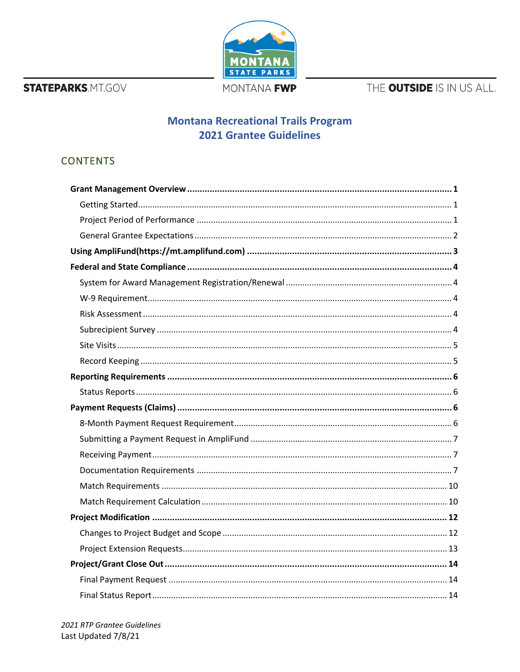**STATEPARKS.MT.GOV** 



MONTANA FWP

THE OUTSIDE IS IN US ALL.

# **Montana Recreational Trails Program 2021 Grantee Guidelines**

# **CONTENTS**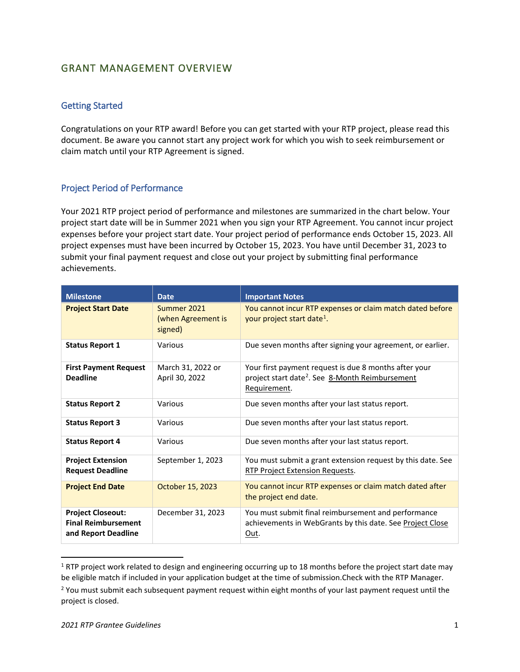# <span id="page-2-0"></span>GRANT MANAGEMENT OVERVIEW

## <span id="page-2-1"></span>Getting Started

Congratulations on your RTP award! Before you can get started with your RTP project, please read this document. Be aware you cannot start any project work for which you wish to seek reimbursement or claim match until your RTP Agreement is signed.

## <span id="page-2-2"></span>Project Period of Performance

Your 2021 RTP project period of performance and milestones are summarized in the chart below. Your project start date will be in Summer 2021 when you sign your RTP Agreement. You cannot incur project expenses before your project start date. Your project period of performance ends October 15, 2023. All project expenses must have been incurred by October 15, 2023. You have until December 31, 2023 to submit your final payment request and close out your project by submitting final performance achievements.

| <b>Milestone</b>                                                              | <b>Date</b>                                  | <b>Important Notes</b>                                                                                                               |
|-------------------------------------------------------------------------------|----------------------------------------------|--------------------------------------------------------------------------------------------------------------------------------------|
| <b>Project Start Date</b>                                                     | Summer 2021<br>(when Agreement is<br>signed) | You cannot incur RTP expenses or claim match dated before<br>your project start date <sup>1</sup> .                                  |
| <b>Status Report 1</b>                                                        | Various                                      | Due seven months after signing your agreement, or earlier.                                                                           |
| <b>First Payment Request</b><br><b>Deadline</b>                               | March 31, 2022 or<br>April 30, 2022          | Your first payment request is due 8 months after your<br>project start date <sup>2</sup> . See 8-Month Reimbursement<br>Requirement. |
| <b>Status Report 2</b>                                                        | Various                                      | Due seven months after your last status report.                                                                                      |
| <b>Status Report 3</b>                                                        | Various                                      | Due seven months after your last status report.                                                                                      |
| <b>Status Report 4</b>                                                        | Various                                      | Due seven months after your last status report.                                                                                      |
| <b>Project Extension</b><br><b>Request Deadline</b>                           | September 1, 2023                            | You must submit a grant extension request by this date. See<br><b>RTP Project Extension Requests.</b>                                |
| <b>Project End Date</b>                                                       | October 15, 2023                             | You cannot incur RTP expenses or claim match dated after<br>the project end date.                                                    |
| <b>Project Closeout:</b><br><b>Final Reimbursement</b><br>and Report Deadline | December 31, 2023                            | You must submit final reimbursement and performance<br>achievements in WebGrants by this date. See Project Close<br>Out.             |

<span id="page-2-3"></span> $1$  RTP project work related to design and engineering occurring up to 18 months before the project start date may be eligible match if included in your application budget at the time of submission.Check with the RTP Manager.

<sup>&</sup>lt;sup>2</sup> You must submit each subsequent payment request within eight months of your last payment request until the project is closed.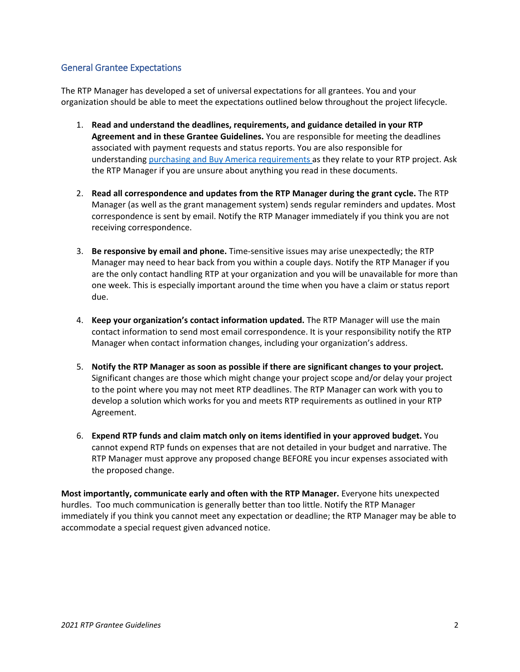## <span id="page-3-0"></span>General Grantee Expectations

The RTP Manager has developed a set of universal expectations for all grantees. You and your organization should be able to meet the expectations outlined below throughout the project lifecycle.

- 1. **Read and understand the deadlines, requirements, and guidance detailed in your RTP Agreement and in these Grantee Guidelines.** You are responsible for meeting the deadlines associated with payment requests and status reports. You are also responsible for understanding [purchasing and Buy America requirements](#page-16-0) as they relate to your RTP project. Ask the RTP Manager if you are unsure about anything you read in these documents.
- 2. **Read all correspondence and updates from the RTP Manager during the grant cycle.** The RTP Manager (as well as the grant management system) sends regular reminders and updates. Most correspondence is sent by email. Notify the RTP Manager immediately if you think you are not receiving correspondence.
- 3. **Be responsive by email and phone.** Time-sensitive issues may arise unexpectedly; the RTP Manager may need to hear back from you within a couple days. Notify the RTP Manager if you are the only contact handling RTP at your organization and you will be unavailable for more than one week. This is especially important around the time when you have a claim or status report due.
- 4. **Keep your organization's contact information updated.** The RTP Manager will use the main contact information to send most email correspondence. It is your responsibility notify the RTP Manager when contact information changes, including your organization's address.
- 5. **Notify the RTP Manager as soon as possible if there are significant changes to your project.** Significant changes are those which might change your project scope and/or delay your project to the point where you may not meet RTP deadlines. The RTP Manager can work with you to develop a solution which works for you and meets RTP requirements as outlined in your RTP Agreement.
- 6. **Expend RTP funds and claim match only on items identified in your approved budget.** You cannot expend RTP funds on expenses that are not detailed in your budget and narrative. The RTP Manager must approve any proposed change BEFORE you incur expenses associated with the proposed change.

**Most importantly, communicate early and often with the RTP Manager.** Everyone hits unexpected hurdles. Too much communication is generally better than too little. Notify the RTP Manager immediately if you think you cannot meet any expectation or deadline; the RTP Manager may be able to accommodate a special request given advanced notice.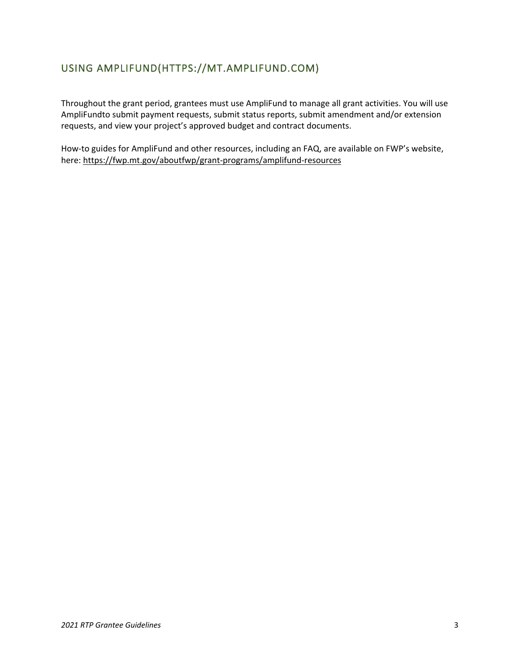# <span id="page-4-0"></span>USING AMPLIFUND(HTTPS://MT.AMPLIFUND.COM)

Throughout the grant period, grantees must use AmpliFund to manage all grant activities. You will use AmpliFundto submit payment requests, submit status reports, submit amendment and/or extension requests, and view your project's approved budget and contract documents.

How-to guides for AmpliFund and other resources, including an FAQ, are available on FWP's website, here:<https://fwp.mt.gov/aboutfwp/grant-programs/amplifund-resources>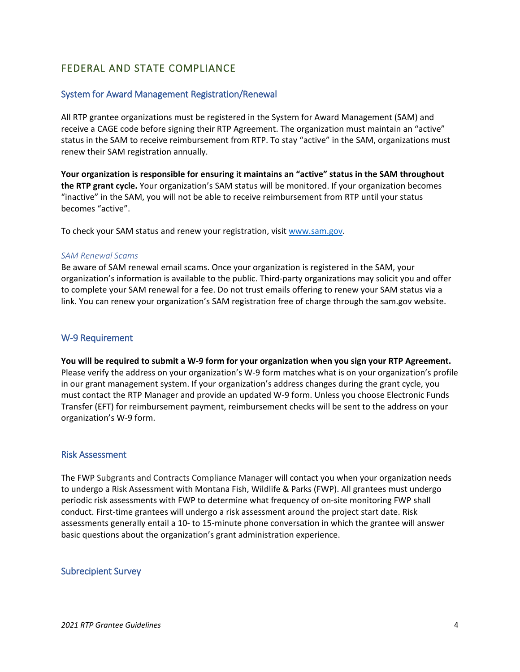# <span id="page-5-0"></span>FEDERAL AND STATE COMPLIANCE

## <span id="page-5-1"></span>System for Award Management Registration/Renewal

All RTP grantee organizations must be registered in the System for Award Management (SAM) and receive a CAGE code before signing their RTP Agreement. The organization must maintain an "active" status in the SAM to receive reimbursement from RTP. To stay "active" in the SAM, organizations must renew their SAM registration annually.

**Your organization is responsible for ensuring it maintains an "active" status in the SAM throughout the RTP grant cycle.** Your organization's SAM status will be monitored. If your organization becomes "inactive" in the SAM, you will not be able to receive reimbursement from RTP until your status becomes "active".

To check your SAM status and renew your registration, visit [www.sam.gov.](http://www.sam.gov/)

#### *SAM Renewal Scams*

Be aware of SAM renewal email scams. Once your organization is registered in the SAM, your organization's information is available to the public. Third-party organizations may solicit you and offer to complete your SAM renewal for a fee. Do not trust emails offering to renew your SAM status via a link. You can renew your organization's SAM registration free of charge through the sam.gov website.

### <span id="page-5-2"></span>W-9 Requirement

**You will be required to submit a W-9 form for your organization when you sign your RTP Agreement.**  Please verify the address on your organization's W-9 form matches what is on your organization's profile in our grant management system. If your organization's address changes during the grant cycle, you must contact the RTP Manager and provide an updated W-9 form. Unless you choose Electronic Funds Transfer (EFT) for reimbursement payment, reimbursement checks will be sent to the address on your organization's W-9 form.

#### <span id="page-5-3"></span>Risk Assessment

The FWP Subgrants and Contracts Compliance Manager will contact you when your organization needs to undergo a Risk Assessment with Montana Fish, Wildlife & Parks (FWP). All grantees must undergo periodic risk assessments with FWP to determine what frequency of on-site monitoring FWP shall conduct. First-time grantees will undergo a risk assessment around the project start date. Risk assessments generally entail a 10- to 15-minute phone conversation in which the grantee will answer basic questions about the organization's grant administration experience.

#### <span id="page-5-4"></span>Subrecipient Survey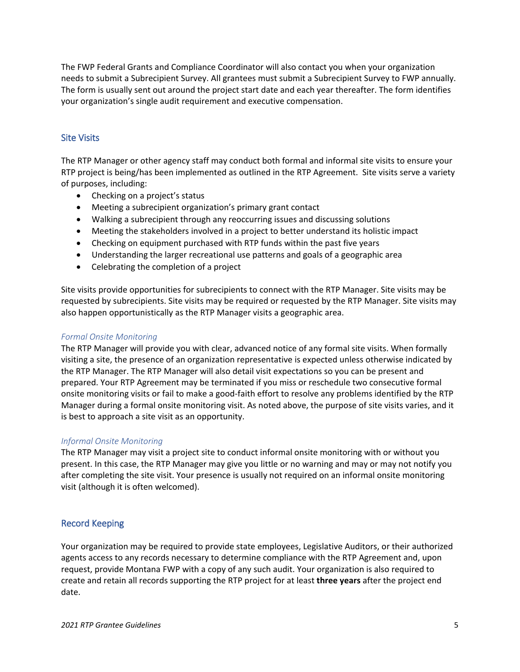The FWP Federal Grants and Compliance Coordinator will also contact you when your organization needs to submit a Subrecipient Survey. All grantees must submit a Subrecipient Survey to FWP annually. The form is usually sent out around the project start date and each year thereafter. The form identifies your organization's single audit requirement and executive compensation.

## <span id="page-6-0"></span>Site Visits

The RTP Manager or other agency staff may conduct both formal and informal site visits to ensure your RTP project is being/has been implemented as outlined in the RTP Agreement. Site visits serve a variety of purposes, including:

- Checking on a project's status
- Meeting a subrecipient organization's primary grant contact
- Walking a subrecipient through any reoccurring issues and discussing solutions
- Meeting the stakeholders involved in a project to better understand its holistic impact
- Checking on equipment purchased with RTP funds within the past five years
- Understanding the larger recreational use patterns and goals of a geographic area
- Celebrating the completion of a project

Site visits provide opportunities for subrecipients to connect with the RTP Manager. Site visits may be requested by subrecipients. Site visits may be required or requested by the RTP Manager. Site visits may also happen opportunistically as the RTP Manager visits a geographic area.

### *Formal Onsite Monitoring*

The RTP Manager will provide you with clear, advanced notice of any formal site visits. When formally visiting a site, the presence of an organization representative is expected unless otherwise indicated by the RTP Manager. The RTP Manager will also detail visit expectations so you can be present and prepared. Your RTP Agreement may be terminated if you miss or reschedule two consecutive formal onsite monitoring visits or fail to make a good-faith effort to resolve any problems identified by the RTP Manager during a formal onsite monitoring visit. As noted above, the purpose of site visits varies, and it is best to approach a site visit as an opportunity.

### *Informal Onsite Monitoring*

The RTP Manager may visit a project site to conduct informal onsite monitoring with or without you present. In this case, the RTP Manager may give you little or no warning and may or may not notify you after completing the site visit. Your presence is usually not required on an informal onsite monitoring visit (although it is often welcomed).

## <span id="page-6-1"></span>Record Keeping

Your organization may be required to provide state employees, Legislative Auditors, or their authorized agents access to any records necessary to determine compliance with the RTP Agreement and, upon request, provide Montana FWP with a copy of any such audit. Your organization is also required to create and retain all records supporting the RTP project for at least **three years** after the project end date.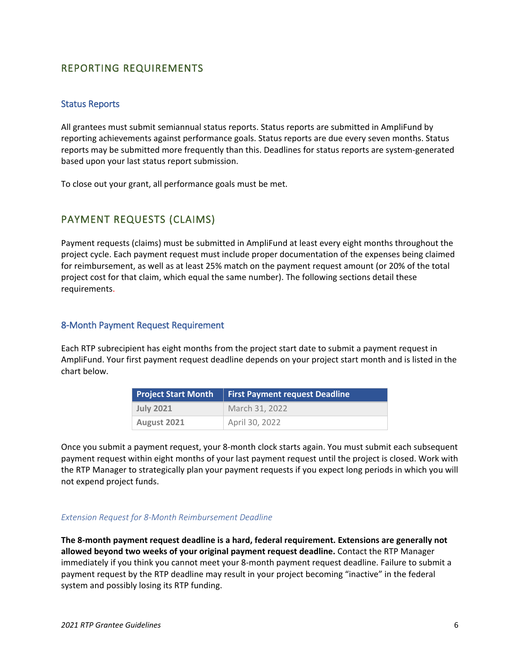# <span id="page-7-0"></span>REPORTING REQUIREMENTS

### <span id="page-7-1"></span>Status Reports

All grantees must submit semiannual status reports. Status reports are submitted in AmpliFund by reporting achievements against performance goals. Status reports are due every seven months. Status reports may be submitted more frequently than this. Deadlines for status reports are system-generated based upon your last status report submission.

To close out your grant, all performance goals must be met.

# <span id="page-7-2"></span>PAYMENT REQUESTS (CLAIMS)

Payment requests (claims) must be submitted in AmpliFund at least every eight months throughout the project cycle. Each payment request must include proper documentation of the expenses being claimed for reimbursement, as well as at least 25% match on the payment request amount (or 20% of the total project cost for that claim, which equal the same number). The following sections detail these requirements.

## <span id="page-7-3"></span>8-Month Payment Request Requirement

Each RTP subrecipient has eight months from the project start date to submit a payment request in AmpliFund. Your first payment request deadline depends on your project start month and is listed in the chart below.

| <b>Project Start Month</b> | <b>First Payment request Deadline</b> |
|----------------------------|---------------------------------------|
| <b>July 2021</b>           | March 31, 2022                        |
| August 2021                | April 30, 2022                        |

Once you submit a payment request, your 8-month clock starts again. You must submit each subsequent payment request within eight months of your last payment request until the project is closed. Work with the RTP Manager to strategically plan your payment requests if you expect long periods in which you will not expend project funds.

#### *Extension Request for 8-Month Reimbursement Deadline*

**The 8-month payment request deadline is a hard, federal requirement. Extensions are generally not allowed beyond two weeks of your original payment request deadline.** Contact the RTP Manager immediately if you think you cannot meet your 8-month payment request deadline. Failure to submit a payment request by the RTP deadline may result in your project becoming "inactive" in the federal system and possibly losing its RTP funding.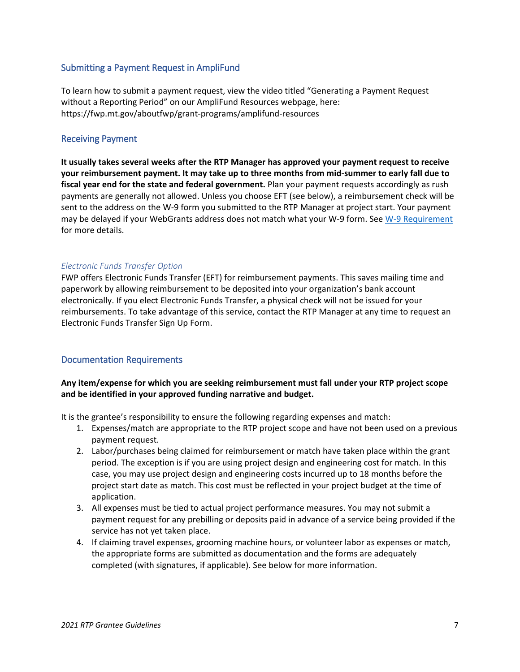## <span id="page-8-0"></span>Submitting a Payment Request in AmpliFund

To learn how to submit a payment request, view the video titled "Generating a Payment Request without a Reporting Period" on our AmpliFund Resources webpage, here: https://fwp.mt.gov/aboutfwp/grant-programs/amplifund-resources

## <span id="page-8-1"></span>Receiving Payment

**It usually takes several weeks after the RTP Manager has approved your payment request to receive your reimbursement payment. It may take up to three months from mid-summer to early fall due to fiscal year end for the state and federal government.** Plan your payment requests accordingly as rush payments are generally not allowed. Unless you choose EFT (see below), a reimbursement check will be sent to the address on the W-9 form you submitted to the RTP Manager at project start. Your payment may be delayed if your WebGrants address does not match what your W-9 form. See [W-9 Requirement](#page-5-2) for more details.

### *Electronic Funds Transfer Option*

FWP offers Electronic Funds Transfer (EFT) for reimbursement payments. This saves mailing time and paperwork by allowing reimbursement to be deposited into your organization's bank account electronically. If you elect Electronic Funds Transfer, a physical check will not be issued for your reimbursements. To take advantage of this service, contact the RTP Manager at any time to request an Electronic Funds Transfer Sign Up Form.

### <span id="page-8-2"></span>Documentation Requirements

### **Any item/expense for which you are seeking reimbursement must fall under your RTP project scope and be identified in your approved funding narrative and budget.**

It is the grantee's responsibility to ensure the following regarding expenses and match:

- 1. Expenses/match are appropriate to the RTP project scope and have not been used on a previous payment request.
- 2. Labor/purchases being claimed for reimbursement or match have taken place within the grant period. The exception is if you are using project design and engineering cost for match. In this case, you may use project design and engineering costs incurred up to 18 months before the project start date as match. This cost must be reflected in your project budget at the time of application.
- 3. All expenses must be tied to actual project performance measures. You may not submit a payment request for any prebilling or deposits paid in advance of a service being provided if the service has not yet taken place.
- 4. If claiming travel expenses, grooming machine hours, or volunteer labor as expenses or match, the appropriate forms are submitted as documentation and the forms are adequately completed (with signatures, if applicable). See below for more information.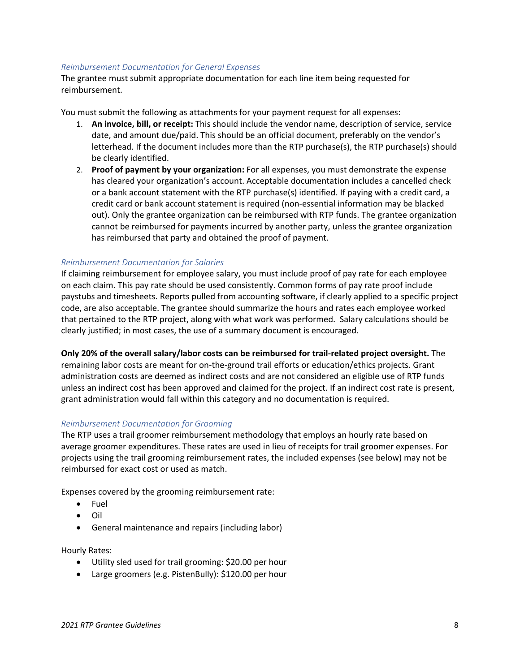#### *Reimbursement Documentation for General Expenses*

The grantee must submit appropriate documentation for each line item being requested for reimbursement.

You must submit the following as attachments for your payment request for all expenses:

- 1. **An invoice, bill, or receipt:** This should include the vendor name, description of service, service date, and amount due/paid. This should be an official document, preferably on the vendor's letterhead. If the document includes more than the RTP purchase(s), the RTP purchase(s) should be clearly identified.
- 2. **Proof of payment by your organization:** For all expenses, you must demonstrate the expense has cleared your organization's account. Acceptable documentation includes a cancelled check or a bank account statement with the RTP purchase(s) identified. If paying with a credit card, a credit card or bank account statement is required (non-essential information may be blacked out). Only the grantee organization can be reimbursed with RTP funds. The grantee organization cannot be reimbursed for payments incurred by another party, unless the grantee organization has reimbursed that party and obtained the proof of payment.

### *Reimbursement Documentation for Salaries*

If claiming reimbursement for employee salary, you must include proof of pay rate for each employee on each claim. This pay rate should be used consistently. Common forms of pay rate proof include paystubs and timesheets. Reports pulled from accounting software, if clearly applied to a specific project code, are also acceptable. The grantee should summarize the hours and rates each employee worked that pertained to the RTP project, along with what work was performed. Salary calculations should be clearly justified; in most cases, the use of a summary document is encouraged.

**Only 20% of the overall salary/labor costs can be reimbursed for trail-related project oversight.** The remaining labor costs are meant for on-the-ground trail efforts or education/ethics projects. Grant administration costs are deemed as indirect costs and are not considered an eligible use of RTP funds unless an indirect cost has been approved and claimed for the project. If an indirect cost rate is present, grant administration would fall within this category and no documentation is required.

#### *Reimbursement Documentation for Grooming*

The RTP uses a trail groomer reimbursement methodology that employs an hourly rate based on average groomer expenditures. These rates are used in lieu of receipts for trail groomer expenses. For projects using the trail grooming reimbursement rates, the included expenses (see below) may not be reimbursed for exact cost or used as match.

Expenses covered by the grooming reimbursement rate:

- Fuel
- Oil
- General maintenance and repairs (including labor)

Hourly Rates:

- Utility sled used for trail grooming: \$20.00 per hour
- Large groomers (e.g. PistenBully): \$120.00 per hour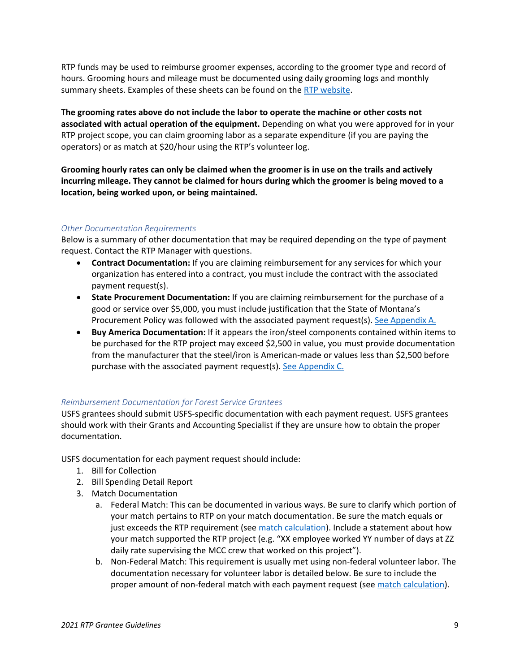RTP funds may be used to reimburse groomer expenses, according to the groomer type and record of hours. Grooming hours and mileage must be documented using daily grooming logs and monthly summary sheets. Examples of these sheets can be found on the [RTP website.](https://fwp.mt.gov/aboutfwp/grant-programs/recreational-trails#:%7E:text=Recreational%20trails%20provide%20benefits%20for,trail%2Drelated%20facilities%20in%20Montana.)

**The grooming rates above do not include the labor to operate the machine or other costs not associated with actual operation of the equipment.** Depending on what you were approved for in your RTP project scope, you can claim grooming labor as a separate expenditure (if you are paying the operators) or as match at \$20/hour using the RTP's volunteer log.

**Grooming hourly rates can only be claimed when the groomer is in use on the trails and actively incurring mileage. They cannot be claimed for hours during which the groomer is being moved to a location, being worked upon, or being maintained.** 

### *Other Documentation Requirements*

Below is a summary of other documentation that may be required depending on the type of payment request. Contact the RTP Manager with questions.

- **Contract Documentation:** If you are claiming reimbursement for any services for which your organization has entered into a contract, you must include the contract with the associated payment request(s).
- **State Procurement Documentation:** If you are claiming reimbursement for the purchase of a good or service over \$5,000, you must include justification that the State of Montana's Procurement Policy was followed with the associated payment request(s). [See Appendix A.](#page-20-0)
- **Buy America Documentation:** If it appears the iron/steel components contained within items to be purchased for the RTP project may exceed \$2,500 in value, you must provide documentation from the manufacturer that the steel/iron is American-made or values less than \$2,500 before purchase with the associated payment request(s). [See Appendix C.](#page-19-2)

### *Reimbursement Documentation for Forest Service Grantees*

USFS grantees should submit USFS-specific documentation with each payment request. USFS grantees should work with their Grants and Accounting Specialist if they are unsure how to obtain the proper documentation.

USFS documentation for each payment request should include:

- 1. Bill for Collection
- 2. Bill Spending Detail Report
- 3. Match Documentation
	- a. Federal Match: This can be documented in various ways. Be sure to clarify which portion of your match pertains to RTP on your match documentation. Be sure the match equals or just exceeds the RTP requirement (see match [calculation\)](#page-11-1). Include a statement about how your match supported the RTP project (e.g. "XX employee worked YY number of days at ZZ daily rate supervising the MCC crew that worked on this project").
	- b. Non-Federal Match: This requirement is usually met using non-federal volunteer labor. The documentation necessary for volunteer labor is detailed below. Be sure to include the proper amount of non-federal match with each payment request (see [match calculation\)](#page-12-0).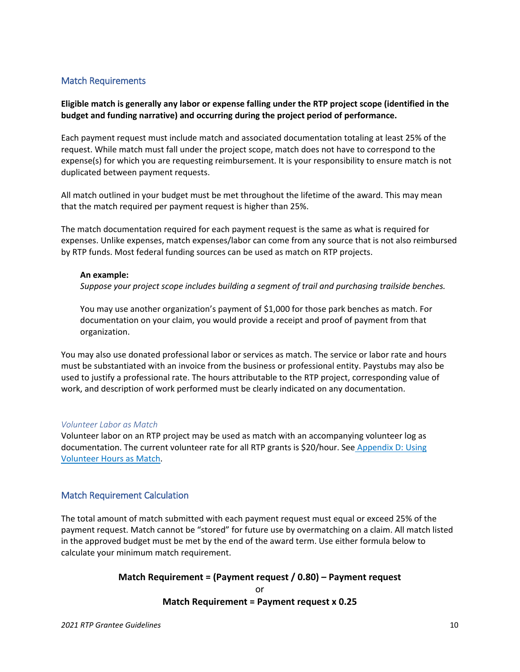## <span id="page-11-0"></span>Match Requirements

## **Eligible match is generally any labor or expense falling under the RTP project scope (identified in the budget and funding narrative) and occurring during the project period of performance.**

Each payment request must include match and associated documentation totaling at least 25% of the request. While match must fall under the project scope, match does not have to correspond to the expense(s) for which you are requesting reimbursement. It is your responsibility to ensure match is not duplicated between payment requests.

All match outlined in your budget must be met throughout the lifetime of the award. This may mean that the match required per payment request is higher than 25%.

The match documentation required for each payment request is the same as what is required for expenses. Unlike expenses, match expenses/labor can come from any source that is not also reimbursed by RTP funds. Most federal funding sources can be used as match on RTP projects.

### **An example:**

*Suppose your project scope includes building a segment of trail and purchasing trailside benches.* 

You may use another organization's payment of \$1,000 for those park benches as match. For documentation on your claim, you would provide a receipt and proof of payment from that organization.

You may also use donated professional labor or services as match. The service or labor rate and hours must be substantiated with an invoice from the business or professional entity. Paystubs may also be used to justify a professional rate. The hours attributable to the RTP project, corresponding value of work, and description of work performed must be clearly indicated on any documentation.

#### *Volunteer Labor as Match*

Volunteer labor on an RTP project may be used as match with an accompanying volunteer log as documentation. The current volunteer rate for all RTP grants is \$20/hour. See Appendix D: Using [Volunteer Hours as Match.](#page-21-0)

## <span id="page-11-1"></span>Match Requirement Calculation

The total amount of match submitted with each payment request must equal or exceed 25% of the payment request. Match cannot be "stored" for future use by overmatching on a claim. All match listed in the approved budget must be met by the end of the award term. Use either formula below to calculate your minimum match requirement.

# **Match Requirement = (Payment request / 0.80) – Payment request** or **Match Requirement = Payment request x 0.25**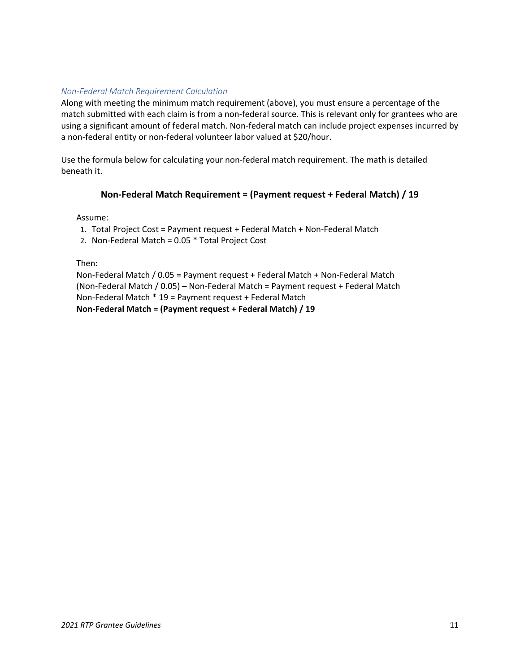## <span id="page-12-0"></span>*Non-Federal Match Requirement Calculation*

Along with meeting the minimum match requirement (above), you must ensure a percentage of the match submitted with each claim is from a non-federal source. This is relevant only for grantees who are using a significant amount of federal match. Non-federal match can include project expenses incurred by a non-federal entity or non-federal volunteer labor valued at \$20/hour.

Use the formula below for calculating your non-federal match requirement. The math is detailed beneath it.

### **Non-Federal Match Requirement = (Payment request + Federal Match) / 19**

Assume:

- 1. Total Project Cost = Payment request + Federal Match + Non-Federal Match
- 2. Non-Federal Match = 0.05 \* Total Project Cost

Then:

Non-Federal Match / 0.05 = Payment request + Federal Match + Non-Federal Match (Non-Federal Match / 0.05) – Non-Federal Match = Payment request + Federal Match Non-Federal Match \* 19 = Payment request + Federal Match **Non-Federal Match = (Payment request + Federal Match) / 19**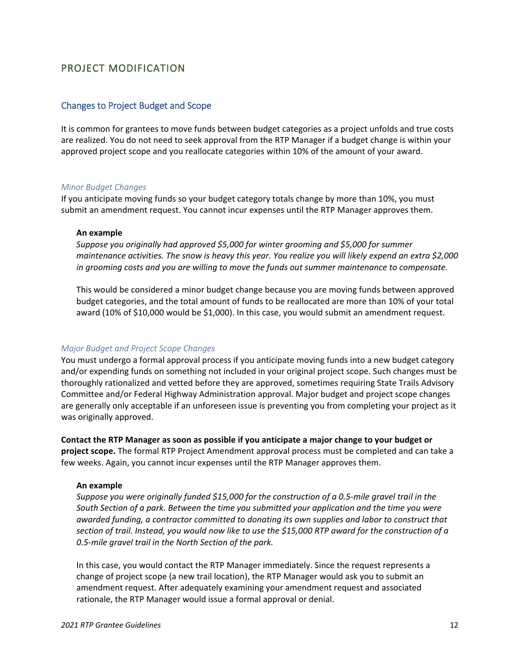# <span id="page-13-0"></span>PROJECT MODIFICATION

### <span id="page-13-1"></span>Changes to Project Budget and Scope

It is common for grantees to move funds between budget categories as a project unfolds and true costs are realized. You do not need to seek approval from the RTP Manager if a budget change is within your approved project scope and you reallocate categories within 10% of the amount of your award.

#### *Minor Budget Changes*

If you anticipate moving funds so your budget category totals change by more than 10%, you must submit an amendment request. You cannot incur expenses until the RTP Manager approves them.

#### **An example**

*Suppose you originally had approved \$5,000 for winter grooming and \$5,000 for summer maintenance activities. The snow is heavy this year. You realize you will likely expend an extra \$2,000 in grooming costs and you are willing to move the funds out summer maintenance to compensate.* 

This would be considered a minor budget change because you are moving funds between approved budget categories, and the total amount of funds to be reallocated are more than 10% of your total award (10% of \$10,000 would be \$1,000). In this case, you would submit an amendment request.

#### *Major Budget and Project Scope Changes*

You must undergo a formal approval process if you anticipate moving funds into a new budget category and/or expending funds on something not included in your original project scope. Such changes must be thoroughly rationalized and vetted before they are approved, sometimes requiring State Trails Advisory Committee and/or Federal Highway Administration approval. Major budget and project scope changes are generally only acceptable if an unforeseen issue is preventing you from completing your project as it was originally approved.

**Contact the RTP Manager as soon as possible if you anticipate a major change to your budget or project scope.** The formal RTP Project Amendment approval process must be completed and can take a few weeks. Again, you cannot incur expenses until the RTP Manager approves them.

#### **An example**

*Suppose you were originally funded \$15,000 for the construction of a 0.5-mile gravel trail in the South Section of a park. Between the time you submitted your application and the time you were awarded funding, a contractor committed to donating its own supplies and labor to construct that section of trail. Instead, you would now like to use the \$15,000 RTP award for the construction of a 0.5-mile gravel trail in the North Section of the park.* 

In this case, you would contact the RTP Manager immediately. Since the request represents a change of project scope (a new trail location), the RTP Manager would ask you to submit an amendment request. After adequately examining your amendment request and associated rationale, the RTP Manager would issue a formal approval or denial.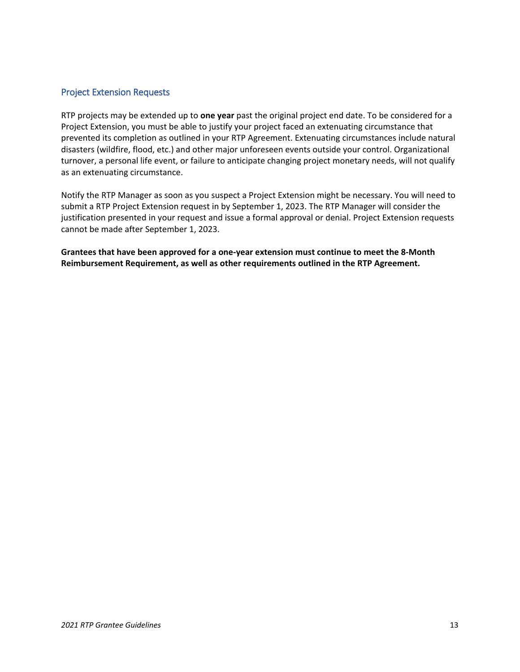## <span id="page-14-0"></span>Project Extension Requests

RTP projects may be extended up to **one year** past the original project end date. To be considered for a Project Extension, you must be able to justify your project faced an extenuating circumstance that prevented its completion as outlined in your RTP Agreement. Extenuating circumstances include natural disasters (wildfire, flood, etc.) and other major unforeseen events outside your control. Organizational turnover, a personal life event, or failure to anticipate changing project monetary needs, will not qualify as an extenuating circumstance.

Notify the RTP Manager as soon as you suspect a Project Extension might be necessary. You will need to submit a RTP Project Extension request in by September 1, 2023. The RTP Manager will consider the justification presented in your request and issue a formal approval or denial. Project Extension requests cannot be made after September 1, 2023.

**Grantees that have been approved for a one-year extension must continue to meet the [8-Month](#page-7-3)  [Reimbursement Requirement,](#page-7-3) as well as other requirements outlined in the RTP Agreement.**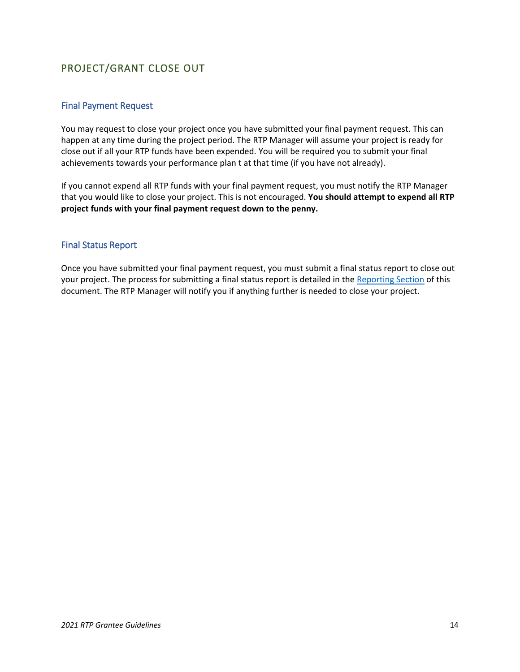# <span id="page-15-0"></span>PROJECT/GRANT CLOSE OUT

## <span id="page-15-1"></span>Final Payment Request

You may request to close your project once you have submitted your final payment request. This can happen at any time during the project period. The RTP Manager will assume your project is ready for close out if all your RTP funds have been expended. You will be required you to submit your final achievements towards your performance plan t at that time (if you have not already).

If you cannot expend all RTP funds with your final payment request, you must notify the RTP Manager that you would like to close your project. This is not encouraged. **You should attempt to expend all RTP project funds with your final payment request down to the penny.** 

## <span id="page-15-2"></span>Final Status Report

Once you have submitted your final payment request, you must submit a final status report to close out your project. The process for submitting a final status report is detailed in the [Reporting Section](#page-7-0) of this document. The RTP Manager will notify you if anything further is needed to close your project.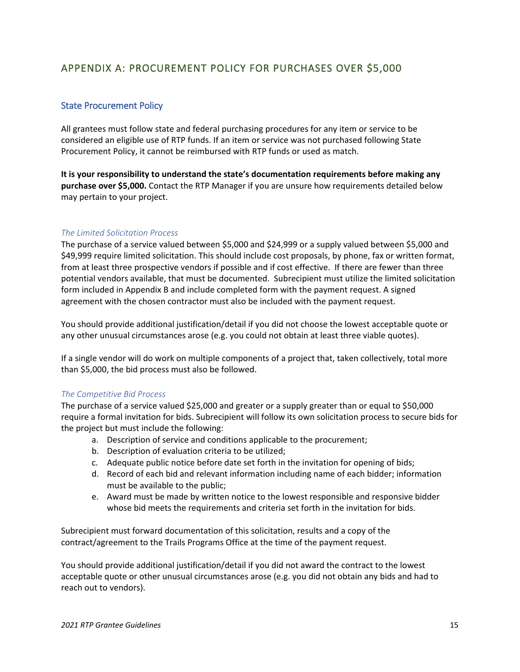# <span id="page-16-0"></span>APPENDIX A: PROCUREMENT POLICY FOR PURCHASES OVER \$5,000

## <span id="page-16-1"></span>State Procurement Policy

All grantees must follow state and federal purchasing procedures for any item or service to be considered an eligible use of RTP funds. If an item or service was not purchased following State Procurement Policy, it cannot be reimbursed with RTP funds or used as match.

**It is your responsibility to understand the state's documentation requirements before making any purchase over \$5,000.** Contact the RTP Manager if you are unsure how requirements detailed below may pertain to your project.

### *The Limited Solicitation Process*

The purchase of a service valued between \$5,000 and \$24,999 or a supply valued between \$5,000 and \$49,999 require limited solicitation. This should include cost proposals, by phone, fax or written format, from at least three prospective vendors if possible and if cost effective. If there are fewer than three potential vendors available, that must be documented. Subrecipient must utilize the limited solicitation form included in Appendix B and include completed form with the payment request. A signed agreement with the chosen contractor must also be included with the payment request.

You should provide additional justification/detail if you did not choose the lowest acceptable quote or any other unusual circumstances arose (e.g. you could not obtain at least three viable quotes).

If a single vendor will do work on multiple components of a project that, taken collectively, total more than \$5,000, the bid process must also be followed.

#### *The Competitive Bid Process*

The purchase of a service valued \$25,000 and greater or a supply greater than or equal to \$50,000 require a formal invitation for bids. Subrecipient will follow its own solicitation process to secure bids for the project but must include the following:

- a. Description of service and conditions applicable to the procurement;
- b. Description of evaluation criteria to be utilized;
- c. Adequate public notice before date set forth in the invitation for opening of bids;
- d. Record of each bid and relevant information including name of each bidder; information must be available to the public;
- e. Award must be made by written notice to the lowest responsible and responsive bidder whose bid meets the requirements and criteria set forth in the invitation for bids.

Subrecipient must forward documentation of this solicitation, results and a copy of the contract/agreement to the Trails Programs Office at the time of the payment request.

You should provide additional justification/detail if you did not award the contract to the lowest acceptable quote or other unusual circumstances arose (e.g. you did not obtain any bids and had to reach out to vendors).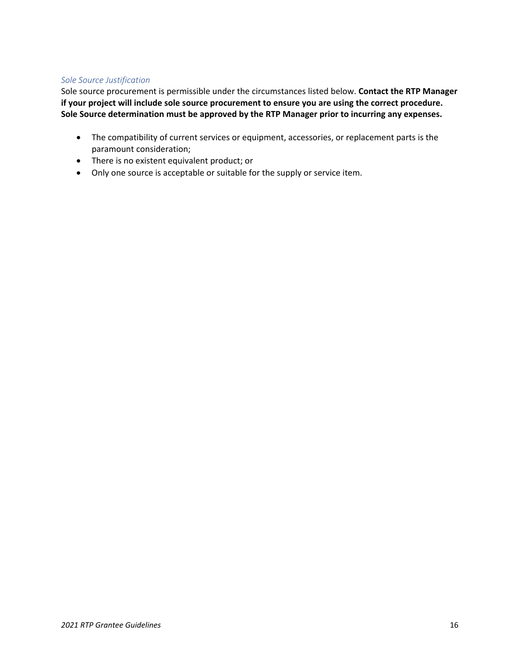### *Sole Source Justification*

Sole source procurement is permissible under the circumstances listed below. **Contact the RTP Manager if your project will include sole source procurement to ensure you are using the correct procedure. Sole Source determination must be approved by the RTP Manager prior to incurring any expenses.**

- The compatibility of current services or equipment, accessories, or replacement parts is the paramount consideration;
- There is no existent equivalent product; or
- Only one source is acceptable or suitable for the supply or service item.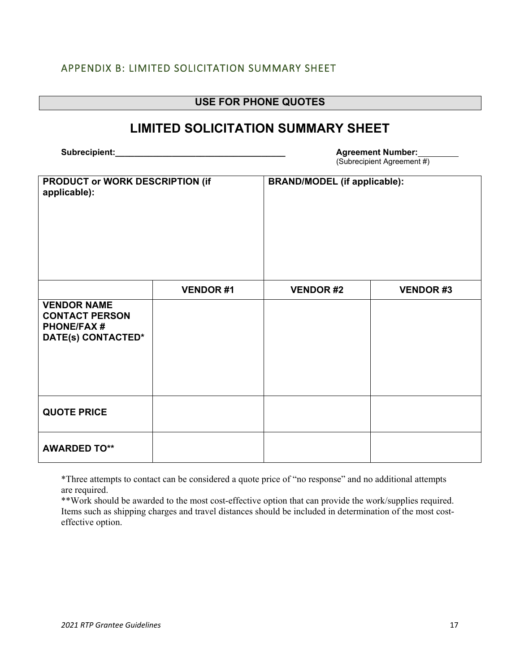# <span id="page-18-0"></span>APPENDIX B: LIMITED SOLICITATION SUMMARY SHEET

| <b>USE FOR PHONE QUOTES</b>                                                            |                 |                                     |                                                        |
|----------------------------------------------------------------------------------------|-----------------|-------------------------------------|--------------------------------------------------------|
| <b>LIMITED SOLICITATION SUMMARY SHEET</b>                                              |                 |                                     |                                                        |
| Subrecipient:                                                                          |                 |                                     | <b>Agreement Number:</b><br>(Subrecipient Agreement #) |
| PRODUCT or WORK DESCRIPTION (if<br>applicable):                                        |                 | <b>BRAND/MODEL (if applicable):</b> |                                                        |
|                                                                                        | <b>VENDOR#1</b> | <b>VENDOR#2</b>                     | <b>VENDOR#3</b>                                        |
| <b>VENDOR NAME</b><br><b>CONTACT PERSON</b><br><b>PHONE/FAX#</b><br>DATE(s) CONTACTED* |                 |                                     |                                                        |
| <b>QUOTE PRICE</b>                                                                     |                 |                                     |                                                        |
| <b>AWARDED TO**</b>                                                                    |                 |                                     |                                                        |

\*Three attempts to contact can be considered a quote price of "no response" and no additional attempts are required.

\*\*Work should be awarded to the most cost-effective option that can provide the work/supplies required. Items such as shipping charges and travel distances should be included in determination of the most costeffective option.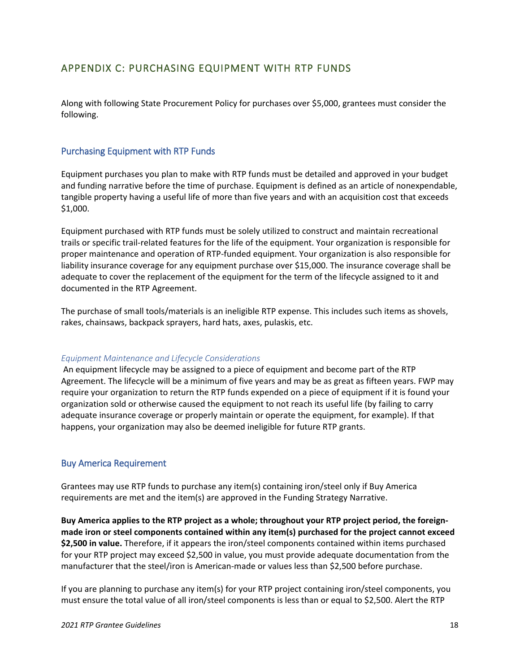# <span id="page-19-0"></span>APPENDIX C: PURCHASING EQUIPMENT WITH RTP FUNDS

Along with following State Procurement Policy for purchases over \$5,000, grantees must consider the following.

### <span id="page-19-1"></span>Purchasing Equipment with RTP Funds

Equipment purchases you plan to make with RTP funds must be detailed and approved in your budget and funding narrative before the time of purchase. Equipment is defined as an article of nonexpendable, tangible property having a useful life of more than five years and with an acquisition cost that exceeds \$1,000.

Equipment purchased with RTP funds must be solely utilized to construct and maintain recreational trails or specific trail-related features for the life of the equipment. Your organization is responsible for proper maintenance and operation of RTP-funded equipment. Your organization is also responsible for liability insurance coverage for any equipment purchase over \$15,000. The insurance coverage shall be adequate to cover the replacement of the equipment for the term of the lifecycle assigned to it and documented in the RTP Agreement.

The purchase of small tools/materials is an ineligible RTP expense. This includes such items as shovels, rakes, chainsaws, backpack sprayers, hard hats, axes, pulaskis, etc.

#### *Equipment Maintenance and Lifecycle Considerations*

An equipment lifecycle may be assigned to a piece of equipment and become part of the RTP Agreement. The lifecycle will be a minimum of five years and may be as great as fifteen years. FWP may require your organization to return the RTP funds expended on a piece of equipment if it is found your organization sold or otherwise caused the equipment to not reach its useful life (by failing to carry adequate insurance coverage or properly maintain or operate the equipment, for example). If that happens, your organization may also be deemed ineligible for future RTP grants.

### <span id="page-19-2"></span>Buy America Requirement

Grantees may use RTP funds to purchase any item(s) containing iron/steel only if Buy America requirements are met and the item(s) are approved in the Funding Strategy Narrative.

**Buy America applies to the RTP project as a whole; throughout your RTP project period, the foreignmade iron or steel components contained within any item(s) purchased for the project cannot exceed \$2,500 in value.** Therefore, if it appears the iron/steel components contained within items purchased for your RTP project may exceed \$2,500 in value, you must provide adequate documentation from the manufacturer that the steel/iron is American-made or values less than \$2,500 before purchase.

If you are planning to purchase any item(s) for your RTP project containing iron/steel components, you must ensure the total value of all iron/steel components is less than or equal to \$2,500. Alert the RTP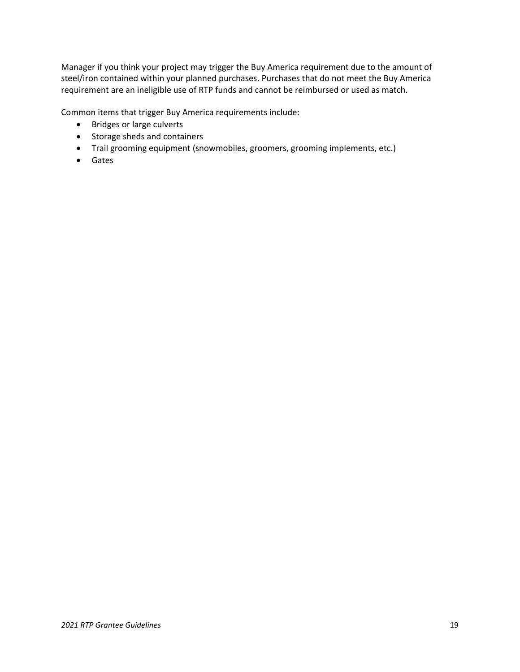Manager if you think your project may trigger the Buy America requirement due to the amount of steel/iron contained within your planned purchases. Purchases that do not meet the Buy America requirement are an ineligible use of RTP funds and cannot be reimbursed or used as match.

Common items that trigger Buy America requirements include:

- Bridges or large culverts
- Storage sheds and containers
- Trail grooming equipment (snowmobiles, groomers, grooming implements, etc.)
- <span id="page-20-0"></span>• Gates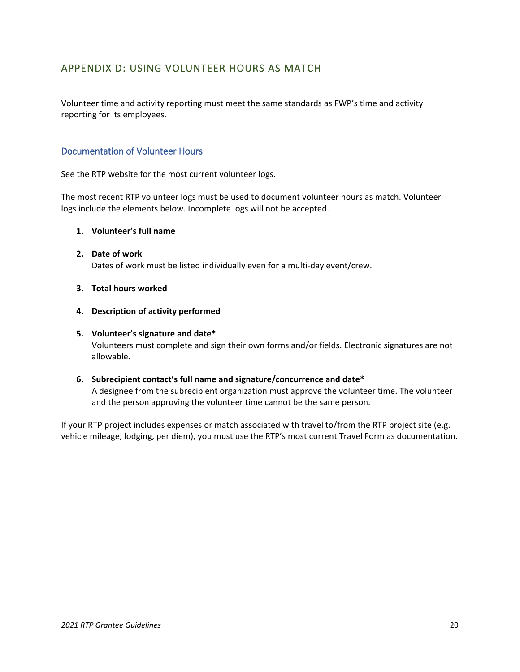# <span id="page-21-0"></span>APPENDIX D: USING VOLUNTEER HOURS AS MATCH

Volunteer time and activity reporting must meet the same standards as FWP's time and activity reporting for its employees.

## <span id="page-21-1"></span>Documentation of Volunteer Hours

See the RTP website for the most current volunteer logs.

The most recent RTP volunteer logs must be used to document volunteer hours as match. Volunteer logs include the elements below. Incomplete logs will not be accepted.

#### **1. Volunteer's full name**

- **2. Date of work** Dates of work must be listed individually even for a multi-day event/crew.
- **3. Total hours worked**
- **4. Description of activity performed**

### **5. Volunteer's signature and date\*** Volunteers must complete and sign their own forms and/or fields. Electronic signatures are not allowable.

### **6. Subrecipient contact's full name and signature/concurrence and date\*** A designee from the subrecipient organization must approve the volunteer time. The volunteer and the person approving the volunteer time cannot be the same person.

If your RTP project includes expenses or match associated with travel to/from the RTP project site (e.g. vehicle mileage, lodging, per diem), you must use the RTP's most current Travel Form as documentation.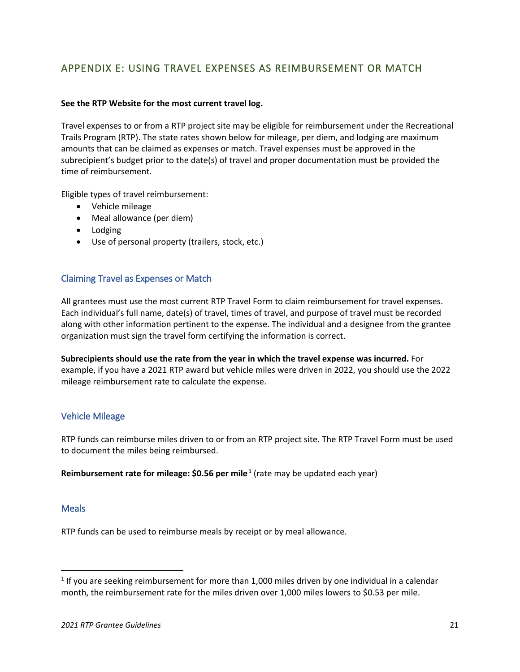# <span id="page-22-0"></span>APPENDIX E: USING TRAVEL EXPENSES AS REIMBURSEMENT OR MATCH

### **See the RTP Website for the most current travel log.**

Travel expenses to or from a RTP project site may be eligible for reimbursement under the Recreational Trails Program (RTP). The state rates shown below for mileage, per diem, and lodging are maximum amounts that can be claimed as expenses or match. Travel expenses must be approved in the subrecipient's budget prior to the date(s) of travel and proper documentation must be provided the time of reimbursement.

Eligible types of travel reimbursement:

- Vehicle mileage
- Meal allowance (per diem)
- Lodging
- Use of personal property (trailers, stock, etc.)

## <span id="page-22-1"></span>Claiming Travel as Expenses or Match

All grantees must use the most current RTP Travel Form to claim reimbursement for travel expenses. Each individual's full name, date(s) of travel, times of travel, and purpose of travel must be recorded along with other information pertinent to the expense. The individual and a designee from the grantee organization must sign the travel form certifying the information is correct.

**Subrecipients should use the rate from the year in which the travel expense was incurred.** For example, if you have a 2021 RTP award but vehicle miles were driven in 2022, you should use the 2022 mileage reimbursement rate to calculate the expense.

### <span id="page-22-2"></span>Vehicle Mileage

RTP funds can reimburse miles driven to or from an RTP project site. The RTP Travel Form must be used to document the miles being reimbursed.

**Reimbursement rate for mileage: \$0.56 per mile<sup>[1](#page-22-4)</sup> (rate may be updated each year)** 

### <span id="page-22-3"></span>**Meals**

RTP funds can be used to reimburse meals by receipt or by meal allowance.

<span id="page-22-4"></span> $1$  If you are seeking reimbursement for more than 1,000 miles driven by one individual in a calendar month, the reimbursement rate for the miles driven over 1,000 miles lowers to \$0.53 per mile.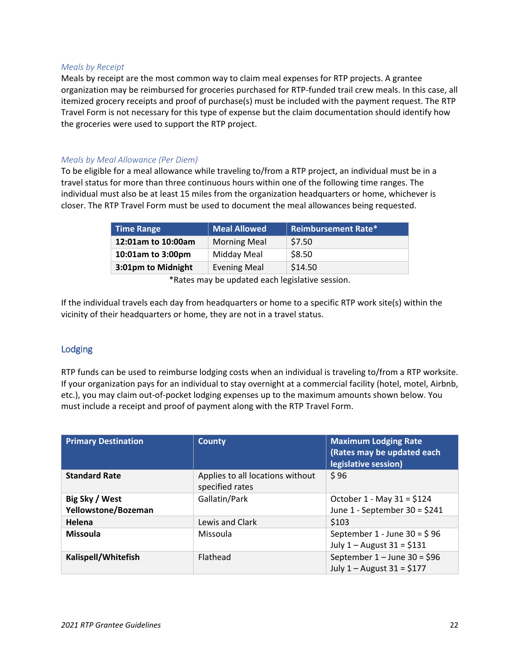#### *Meals by Receipt*

Meals by receipt are the most common way to claim meal expenses for RTP projects. A grantee organization may be reimbursed for groceries purchased for RTP-funded trail crew meals. In this case, all itemized grocery receipts and proof of purchase(s) must be included with the payment request. The RTP Travel Form is not necessary for this type of expense but the claim documentation should identify how the groceries were used to support the RTP project.

### *Meals by Meal Allowance (Per Diem)*

To be eligible for a meal allowance while traveling to/from a RTP project, an individual must be in a travel status for more than three continuous hours within one of the following time ranges. The individual must also be at least 15 miles from the organization headquarters or home, whichever is closer. The RTP Travel Form must be used to document the meal allowances being requested.

| <b>Time Range</b>  | Meal Allowed        | <b>Reimbursement Rate*</b> |
|--------------------|---------------------|----------------------------|
| 12:01am to 10:00am | <b>Morning Meal</b> | \$7.50                     |
| 10:01am to 3:00pm  | Midday Meal         | \$8.50                     |
| 3:01pm to Midnight | <b>Evening Meal</b> | \$14.50                    |

\*Rates may be updated each legislative session.

If the individual travels each day from headquarters or home to a specific RTP work site(s) within the vicinity of their headquarters or home, they are not in a travel status.

## <span id="page-23-0"></span>Lodging

RTP funds can be used to reimburse lodging costs when an individual is traveling to/from a RTP worksite. If your organization pays for an individual to stay overnight at a commercial facility (hotel, motel, Airbnb, etc.), you may claim out-of-pocket lodging expenses up to the maximum amounts shown below. You must include a receipt and proof of payment along with the RTP Travel Form.

| <b>Primary Destination</b>            | <b>County</b>                                       | <b>Maximum Lodging Rate</b><br>(Rates may be updated each<br>legislative session) |
|---------------------------------------|-----------------------------------------------------|-----------------------------------------------------------------------------------|
| <b>Standard Rate</b>                  | Applies to all locations without<br>specified rates | \$96                                                                              |
| Big Sky / West<br>Yellowstone/Bozeman | Gallatin/Park                                       | October 1 - May 31 = $$124$<br>June $1$ - September 30 = \$241                    |
| Helena                                | Lewis and Clark                                     | \$103                                                                             |
| <b>Missoula</b>                       | Missoula                                            | September 1 - June 30 = $$96$<br>July $1 -$ August $31 = $131$                    |
| Kalispell/Whitefish                   | Flathead                                            | September $1 -$ June 30 = \$96<br>July $1 -$ August $31 = $177$                   |